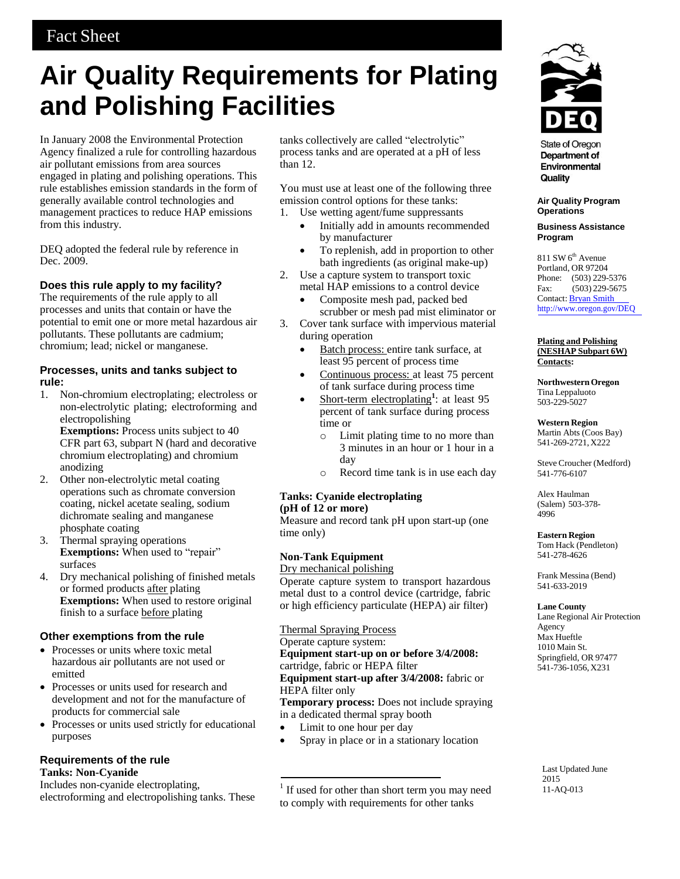# **Air Quality Requirements for Plating and Polishing Facilities**

In January 2008 the Environmental Protection Agency finalized a rule for controlling hazardous air pollutant emissions from area sources engaged in plating and polishing operations. This rule establishes emission standards in the form of generally available control technologies and management practices to reduce HAP emissions from this industry.

DEQ adopted the federal rule by reference in Dec. 2009.

# **Does this rule apply to my facility?**

The requirements of the rule apply to all processes and units that contain or have the potential to emit one or more metal hazardous air pollutants. These pollutants are cadmium; chromium; lead; nickel or manganese.

## **Processes, units and tanks subject to rule:**

1. Non-chromium electroplating; electroless or non-electrolytic plating; electroforming and electropolishing

**Exemptions:** Process units subject to 40 CFR part 63, subpart N (hard and decorative chromium electroplating) and chromium anodizing

- 2. Other non-electrolytic metal coating operations such as chromate conversion coating, nickel acetate sealing, sodium dichromate sealing and manganese phosphate coating
- 3. Thermal spraying operations **Exemptions:** When used to "repair" surfaces
- 4. Dry mechanical polishing of finished metals or formed products after plating **Exemptions:** When used to restore original finish to a surface before plating

## **Other exemptions from the rule**

- Processes or units where toxic metal hazardous air pollutants are not used or emitted
- Processes or units used for research and development and not for the manufacture of products for commercial sale
- Processes or units used strictly for educational purposes

## **Requirements of the rule Tanks: Non-Cyanide**

Includes non-cyanide electroplating, electroforming and electropolishing tanks. These

tanks collectively are called "electrolytic" process tanks and are operated at a pH of less than 12.

You must use at least one of the following three emission control options for these tanks:

- 1. Use wetting agent/fume suppressants
	- Initially add in amounts recommended by manufacturer
	- To replenish, add in proportion to other bath ingredients (as original make-up)
- 2. Use a capture system to transport toxic metal HAP emissions to a control device
	- Composite mesh pad, packed bed scrubber or mesh pad mist eliminator or
- 3. Cover tank surface with impervious material during operation
	- Batch process: entire tank surface, at least 95 percent of process time
	- Continuous process: at least 75 percent of tank surface during process time
	- Short-term electroplating<sup>1</sup>: at least 95 percent of tank surface during process time or
		- o Limit plating time to no more than 3 minutes in an hour or 1 hour in a day
		- o Record time tank is in use each day

#### **Tanks: Cyanide electroplating (pH of 12 or more)**

Measure and record tank pH upon start-up (one time only)

# **Non-Tank Equipment**

Dry mechanical polishing

Operate capture system to transport hazardous metal dust to a control device (cartridge, fabric or high efficiency particulate (HEPA) air filter)

Thermal Spraying Process

Operate capture system:

**Equipment start-up on or before 3/4/2008:** cartridge, fabric or HEPA filter **Equipment start-up after 3/4/2008:** fabric or HEPA filter only

**Temporary process:** Does not include spraying in a dedicated thermal spray booth

- Limit to one hour per day
- Spray in place or in a stationary location

<sup>1</sup> If used for other than short term you may need to comply with requirements for other tanks



**State of Oregon** Department of Environmental Quality

**Air Quality Program Operations** 

#### **Business Assistance Program**

 $811$  SW  $6<sup>th</sup>$  Avenue Portland, OR 97204 Phone: (503) 229-5376 Fax: (503) 229-5675 Contact: Bryan Smit[h](http://www.oregon.gov/DEQ) <http://www.oregon.gov/DEQ>

#### **Plating and Polishing (NESHAP Subpart 6W) Contacts:**

**Northwestern Oregon** Tina Leppaluoto 503-229-5027

### **Western Region**

Martin Abts (Coos Bay) 541-269-2721, X222

Steve Croucher (Medford) 541-776-6107

Alex Haulman (Salem) 503-378- 4996

#### **Eastern Region** Tom Hack (Pendleton) 541-278-4626

Frank Messina (Bend) 541-633-2019

# **Lane County**

Lane Regional Air Protection Agency Max Hueftle 1010 Main St. Springfield, OR 97477 541-736-1056, X231

Last Updated June 2015 11-AQ-013